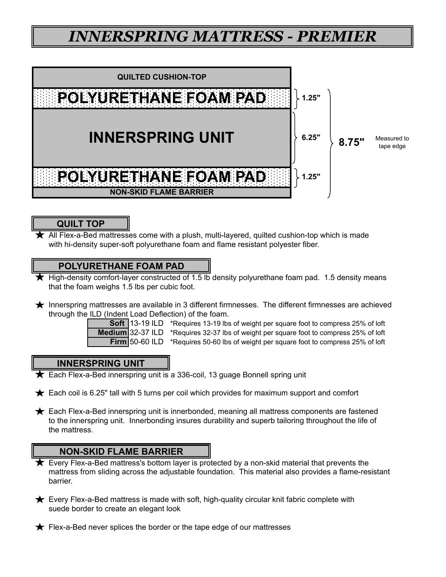# *INNERSPRING MATTRESS - PREMIER*



### **QUILT TOP**

All Flex-a-Bed mattresses come with a plush, multi-layered, quilted cushion-top which is made with hi-density super-soft polyurethane foam and flame resistant polyester fiber.

### **POLYURETHANE FOAM PAD**

- High-density comfort-layer constructed of 1.5 lb density polyurethane foam pad. 1.5 density means that the foam weighs 1.5 lbs per cubic foot.
- Innerspring mattresses are available in 3 different firmnesses. The different firmnesses are achieved through the ILD (Indent Load Deflection) of the foam.



**Soft** 13-19 ILD \*Requires 13-19 lbs of weight per square foot to compress 25% of loft **Medium** 32-37 ILD \*Requires 32-37 lbs of weight per square foot to compress 25% of loft **Firm** 50-60 ILD \*Requires 50-60 lbs of weight per square foot to compress 25% of loft

### **INNERSPRING UNIT**

**★** Each Flex-a-Bed innerspring unit is a 336-coil, 13 guage Bonnell spring unit

- $\bigstar$  Each coil is 6.25" tall with 5 turns per coil which provides for maximum support and comfort
- $\bigstar$  Each Flex-a-Bed innerspring unit is innerbonded, meaning all mattress components are fastened to the innerspring unit. Innerbonding insures durability and superb tailoring throughout the life of the mattress.

- Every Flex-a-Bed mattress's bottom layer is protected by a non-skid material that prevents the mattress from sliding across the adjustable foundation. This material also provides a flame-resistant barrier.
- $\bigstar$  Every Flex-a-Bed mattress is made with soft, high-quality circular knit fabric complete with suede border to create an elegant look
- $\bigstar$  Flex-a-Bed never splices the border or the tape edge of our mattresses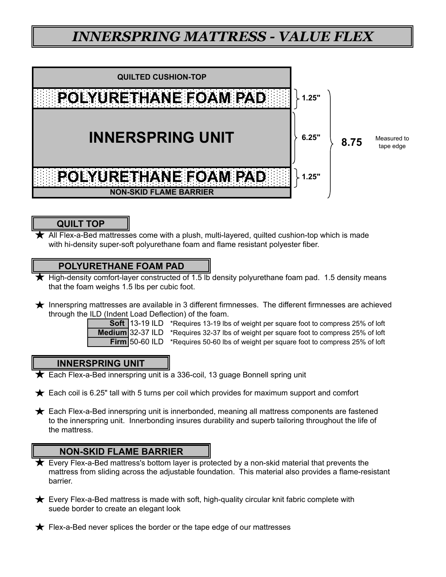## *INNERSPRING MATTRESS - VALUE FLEX*



### **QUILT TOP**

All Flex-a-Bed mattresses come with a plush, multi-layered, quilted cushion-top which is made with hi-density super-soft polyurethane foam and flame resistant polyester fiber.

### **POLYURETHANE FOAM PAD**

- High-density comfort-layer constructed of 1.5 lb density polyurethane foam pad. 1.5 density means that the foam weighs 1.5 lbs per cubic foot.
- Innerspring mattresses are available in 3 different firmnesses. The different firmnesses are achieved through the ILD (Indent Load Deflection) of the foam.



**Soft** 13-19 ILD \*Requires 13-19 lbs of weight per square foot to compress 25% of loft **Medium** 32-37 ILD \*Requires 32-37 lbs of weight per square foot to compress 25% of loft **Firm** 50-60 ILD \*Requires 50-60 lbs of weight per square foot to compress 25% of loft

### **INNERSPRING UNIT**

 $\bigstar$  Each Flex-a-Bed innerspring unit is a 336-coil, 13 guage Bonnell spring unit

- $\bigstar$  Each coil is 6.25" tall with 5 turns per coil which provides for maximum support and comfort
- $\bigstar$  Each Flex-a-Bed innerspring unit is innerbonded, meaning all mattress components are fastened to the innerspring unit. Innerbonding insures durability and superb tailoring throughout the life of the mattress.

- Every Flex-a-Bed mattress's bottom layer is protected by a non-skid material that prevents the mattress from sliding across the adjustable foundation. This material also provides a flame-resistant barrier.
- $\bigstar$  Every Flex-a-Bed mattress is made with soft, high-quality circular knit fabric complete with suede border to create an elegant look
- $\bigstar$  Flex-a-Bed never splices the border or the tape edge of our mattresses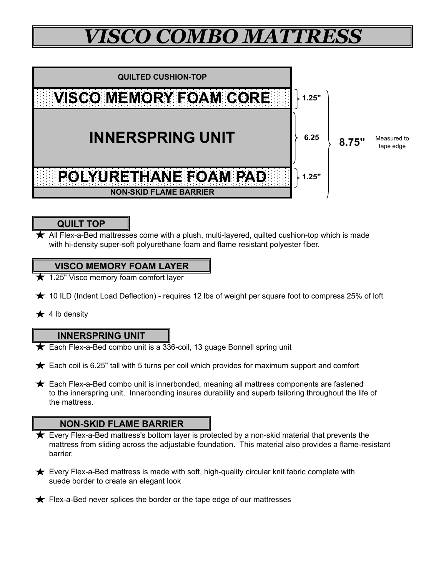# *VISCO COMBO MATTRESS*



### **QUILT TOP**

with hi-density super-soft polyurethane foam and flame resistant polyester fiber. All Flex-a-Bed mattresses come with a plush, multi-layered, quilted cushion-top which is made

### **VISCO MEMORY FOAM LAYER**

- 1.25" Visco memory foam comfort layer
- $\bigstar$  10 ILD (Indent Load Deflection) requires 12 lbs of weight per square foot to compress 25% of loft
- $\star$  4 lb density

#### **INNERSPRING UNIT**

- Each Flex-a-Bed combo unit is a 336-coil, 13 guage Bonnell spring unit
- $\bigstar$  Each coil is 6.25" tall with 5 turns per coil which provides for maximum support and comfort
- $\bigstar$  Each Flex-a-Bed combo unit is innerbonded, meaning all mattress components are fastened to the innerspring unit. Innerbonding insures durability and superb tailoring throughout the life of the mattress.

- Every Flex-a-Bed mattress's bottom layer is protected by a non-skid material that prevents the mattress from sliding across the adjustable foundation. This material also provides a flame-resistant barrier.
- **★** Every Flex-a-Bed mattress is made with soft, high-quality circular knit fabric complete with suede border to create an elegant look
- $\bigstar$  Flex-a-Bed never splices the border or the tape edge of our mattresses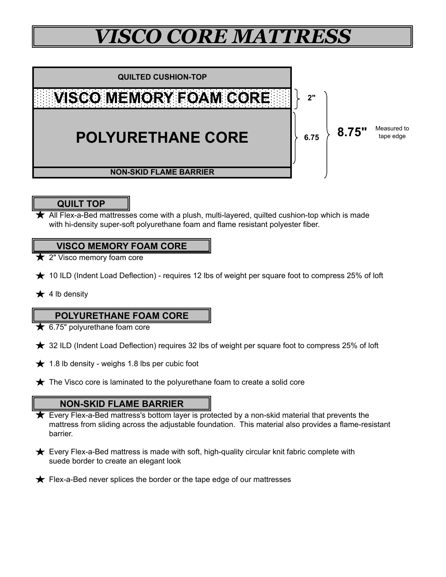# *VISCO CORE MATTRESS*



## **QUILT TOP**

with hi-density super-soft polyurethane foam and flame resistant polyester fiber.  $\bigstar$  All Flex-a-Bed mattresses come with a plush, multi-layered, quilted cushion-top which is made

### **VISCO MEMORY FOAM CORE**

- $\bigstar$  2" Visco memory foam core
- $\bigstar$  10 ILD (Indent Load Deflection) requires 12 lbs of weight per square foot to compress 25% of loft
- $\star$  4 lb density

### **POLYURETHANE FOAM CORE**

- $\bigstar$  6.75" polyurethane foam core
- $\star$  32 ILD (Indent Load Deflection) requires 32 lbs of weight per square foot to compress 25% of loft
- $\bigstar$  1.8 lb density weighs 1.8 lbs per cubic foot
- $\bigstar$  The Visco core is laminated to the polyurethane foam to create a solid core

- **★** Every Flex-a-Bed mattress's bottom layer is protected by a non-skid material that prevents the mattress from sliding across the adjustable foundation. This material also provides a flame-resistant barrier.
- $\bigstar$  Every Flex-a-Bed mattress is made with soft, high-quality circular knit fabric complete with suede border to create an elegant look
- $\bigstar$  Flex-a-Bed never splices the border or the tape edge of our mattresses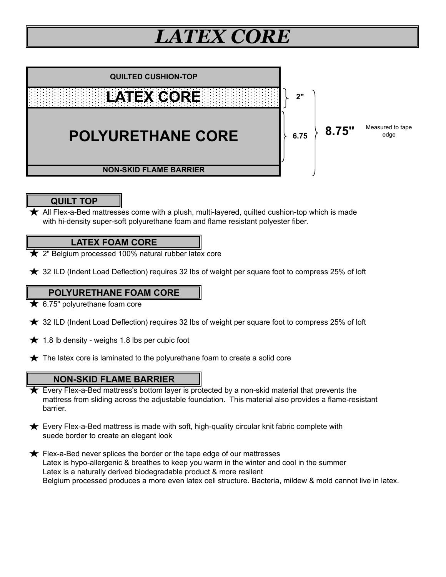# *LATEX CORE*



### **QUILT TOP**

All Flex-a-Bed mattresses come with a plush, multi-layered, quilted cushion-top which is made with hi-density super-soft polyurethane foam and flame resistant polyester fiber.

### **LATEX FOAM CORE**

- $\bigstar$  2" Belgium processed 100% natural rubber latex core
- $\star$  32 ILD (Indent Load Deflection) requires 32 lbs of weight per square foot to compress 25% of loft

### **POLYURETHANE FOAM CORE**

- $\bigstar$  6.75" polyurethane foam core
- $\star$  32 ILD (Indent Load Deflection) requires 32 lbs of weight per square foot to compress 25% of loft
- $\bigstar$  1.8 lb density weighs 1.8 lbs per cubic foot
- $\bigstar$  The latex core is laminated to the polyurethane foam to create a solid core

- mattress from sliding across the adjustable foundation. This material also provides a flame-resistant barrier. **★** Every Flex-a-Bed mattress's bottom layer is protected by a non-skid material that prevents the
- $\bigstar$  Every Flex-a-Bed mattress is made with soft, high-quality circular knit fabric complete with suede border to create an elegant look
- Latex is a naturally derived biodegradable product & more resilent Belgium processed produces a more even latex cell structure. Bacteria, mildew & mold cannot live in latex.  $\bigstar$  Flex-a-Bed never splices the border or the tape edge of our mattresses Latex is hypo-allergenic & breathes to keep you warm in the winter and cool in the summer